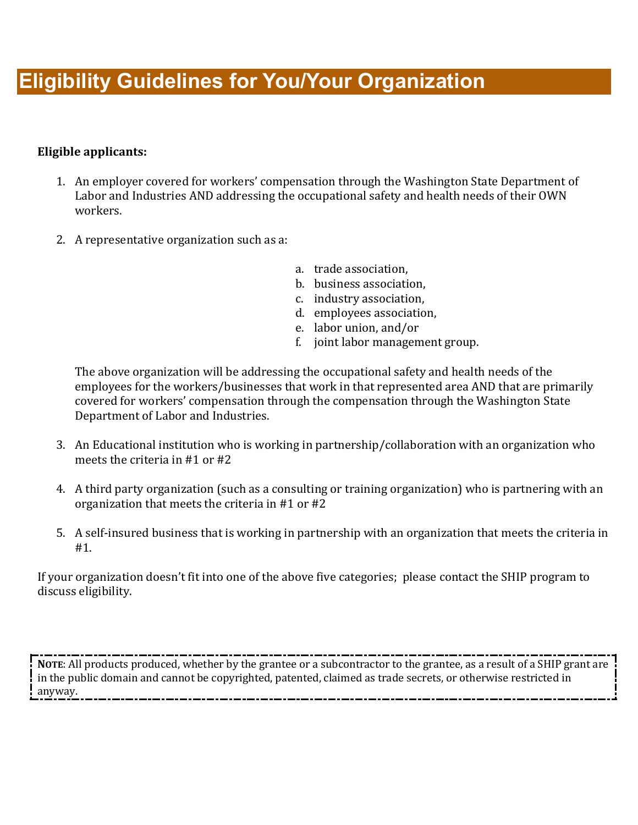### **Eligible applicants:**

- 1. An employer covered for workers' compensation through the Washington State Department of Labor and Industries AND addressing the occupational safety and health needs of their OWN workers.
- 2. A representative organization such as a:
- a. trade association,
- b. business association,
- c. industry association,
- d. employees association,
- e. labor union, and/or
- f. joint labor management group.

The above organization will be addressing the occupational safety and health needs of the employees for the workers/businesses that work in that represented area AND that are primarily covered for workers' compensation through the compensation through the Washington State Department of Labor and Industries.

- 3. An Educational institution who is working in partnership/collaboration with an organization who meets the criteria in #1 or #2
- 4. A third party organization (such as a consulting or training organization) who is partnering with an organization that meets the criteria in #1 or #2
- 5. A self-insured business that is working in partnership with an organization that meets the criteria in #1.

If your organization doesn't fit into one of the above five categories; please contact the SHIP program to discuss eligibility.

**NOTE**: All products produced, whether by the grantee or a subcontractor to the grantee, as a result of a SHIP grant are in the public domain and cannot be copyrighted, patented, claimed as trade secrets, or otherwise restricted in anyway.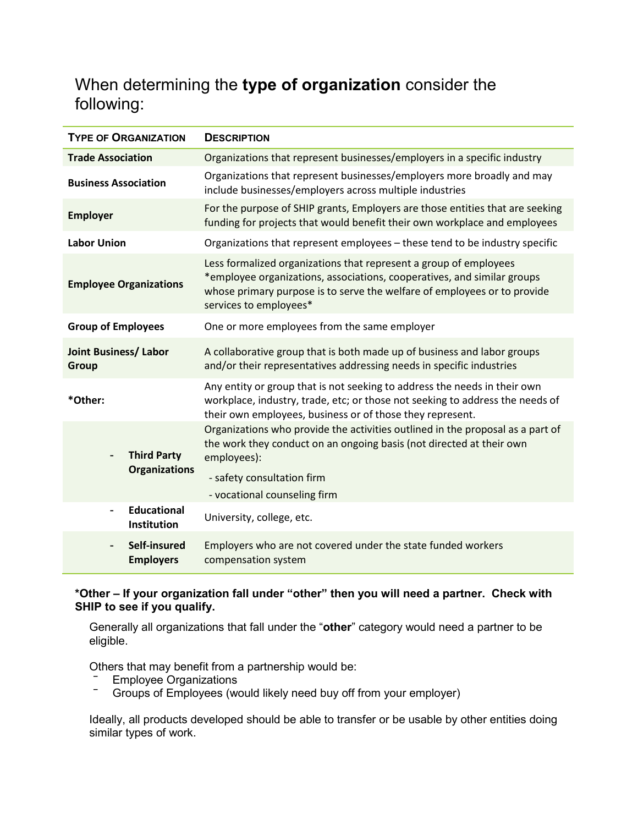## When determining the **type of organization** consider the following:

| <b>TYPE OF ORGANIZATION</b>                                          | <b>DESCRIPTION</b>                                                                                                                                                                                                                                 |
|----------------------------------------------------------------------|----------------------------------------------------------------------------------------------------------------------------------------------------------------------------------------------------------------------------------------------------|
| <b>Trade Association</b>                                             | Organizations that represent businesses/employers in a specific industry                                                                                                                                                                           |
| <b>Business Association</b>                                          | Organizations that represent businesses/employers more broadly and may<br>include businesses/employers across multiple industries                                                                                                                  |
| <b>Employer</b>                                                      | For the purpose of SHIP grants, Employers are those entities that are seeking<br>funding for projects that would benefit their own workplace and employees                                                                                         |
| <b>Labor Union</b>                                                   | Organizations that represent employees - these tend to be industry specific                                                                                                                                                                        |
| <b>Employee Organizations</b>                                        | Less formalized organizations that represent a group of employees<br>*employee organizations, associations, cooperatives, and similar groups<br>whose primary purpose is to serve the welfare of employees or to provide<br>services to employees* |
| <b>Group of Employees</b>                                            | One or more employees from the same employer                                                                                                                                                                                                       |
| <b>Joint Business/ Labor</b><br><b>Group</b>                         | A collaborative group that is both made up of business and labor groups<br>and/or their representatives addressing needs in specific industries                                                                                                    |
| *Other:                                                              | Any entity or group that is not seeking to address the needs in their own<br>workplace, industry, trade, etc; or those not seeking to address the needs of<br>their own employees, business or of those they represent.                            |
| <b>Third Party</b><br><b>Organizations</b>                           | Organizations who provide the activities outlined in the proposal as a part of<br>the work they conduct on an ongoing basis (not directed at their own<br>employees):<br>- safety consultation firm<br>- vocational counseling firm                |
| <b>Educational</b><br>$\overline{\phantom{0}}$<br><b>Institution</b> | University, college, etc.                                                                                                                                                                                                                          |
| Self-insured<br><b>Employers</b>                                     | Employers who are not covered under the state funded workers<br>compensation system                                                                                                                                                                |

#### **\*Other – If your organization fall under "other" then you will need a partner. Check with SHIP to see if you qualify.**

Generally all organizations that fall under the "**other**" category would need a partner to be eligible.

Others that may benefit from a partnership would be:

- ‾ Employee Organizations
- Groups of Employees (would likely need buy off from your employer)

Ideally, all products developed should be able to transfer or be usable by other entities doing similar types of work.